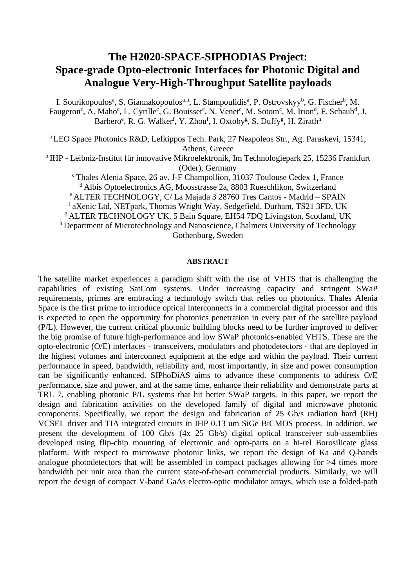## **The H2020-SPACE-SIPHODIAS Project: Space-grade Opto-electronic Interfaces for Photonic Digital and Analogue Very-High-Throughput Satellite payloads**

I. Sourikopoulos<sup>a</sup>, S. Giannakopoulos<sup>a,h</sup>, L. Stampoulidis<sup>a</sup>, P. Ostrovskyy<sup>b</sup>, G. Fischer<sup>b</sup>, M. Faugeron<sup>c</sup>, A. Maho<sup>c</sup>, L. Cyrille<sup>c</sup>, G. Bouisset<sup>c</sup>, N. Venet<sup>c</sup>, M. Sotom<sup>c</sup>, M. Irion<sup>d</sup>, F. Schaub<sup>d</sup>, J. Barbero<sup>e</sup>, R. G. Walker<sup>f</sup>, Y. Zhou<sup>f</sup>, I. Oxtoby<sup>g</sup>, S. Duffy<sup>g</sup>, H. Zirath<sup>h</sup>

<sup>a</sup> LEO Space Photonics R&D, Lefkippos Tech. Park, 27 Neapoleos Str., Ag. Paraskevi, 15341, Athens, Greece

<sup>b</sup> IHP - Leibniz-Institut für innovative Mikroelektronik, Im Technologiepark 25, 15236 Frankfurt (Oder), Germany

<sup>c</sup> Thales Alenia Space, 26 av. J-F Champollion, 31037 Toulouse Cedex 1, France <sup>d</sup> Albis Optoelectronics AG, Moosstrasse 2a, 8803 Rueschlikon, Switzerland <sup>e</sup> ALTER TECHNOLOGY, C/ La Majada 3 28760 Tres Cantos - Madrid – SPAIN

f aXenic Ltd, NETpark, Thomas Wright Way, Sedgefield, Durham, TS21 3FD, UK

<sup>g</sup> ALTER TECHNOLOGY UK, 5 Bain Square, EH54 7DQ Livingston, Scotland, UK

h Department of Microtechnology and Nanoscience, Chalmers University of Technology Gothenburg, Sweden

## **ABSTRACT**

The satellite market experiences a paradigm shift with the rise of VHTS that is challenging the capabilities of existing SatCom systems. Under increasing capacity and stringent SWaP requirements, primes are embracing a technology switch that relies on photonics. Thales Alenia Space is the first prime to introduce optical interconnects in a commercial digital processor and this is expected to open the opportunity for photonics penetration in every part of the satellite payload (P/L). However, the current critical photonic building blocks need to be further improved to deliver the big promise of future high-performance and low SWaP photonics-enabled VHTS. These are the opto-electronic (O/E) interfaces - transceivers, modulators and photodetectors - that are deployed in the highest volumes and interconnect equipment at the edge and within the payload. Their current performance in speed, bandwidth, reliability and, most importantly, in size and power consumption can be significantly enhanced. SIPhoDiAS aims to advance these components to address O/E performance, size and power, and at the same time, enhance their reliability and demonstrate parts at TRL 7, enabling photonic P/L systems that hit better SWaP targets. In this paper, we report the design and fabrication activities on the developed family of digital and microwave photonic components. Specifically, we report the design and fabrication of 25 Gb/s radiation hard (RH) VCSEL driver and TIA integrated circuits in IHP 0.13 um SiGe BiCMOS process. In addition, we present the development of 100 Gb/s (4x 25 Gb/s) digital optical transceiver sub-assemblies developed using flip-chip mounting of electronic and opto-parts on a hi-rel Borosilicate glass platform. With respect to microwave photonic links, we report the design of Ka and Q-bands analogue photodetectors that will be assembled in compact packages allowing for >4 times more bandwidth per unit area than the current state-of-the-art commercial products. Similarly, we will report the design of compact V-band GaAs electro-optic modulator arrays, which use a folded-path